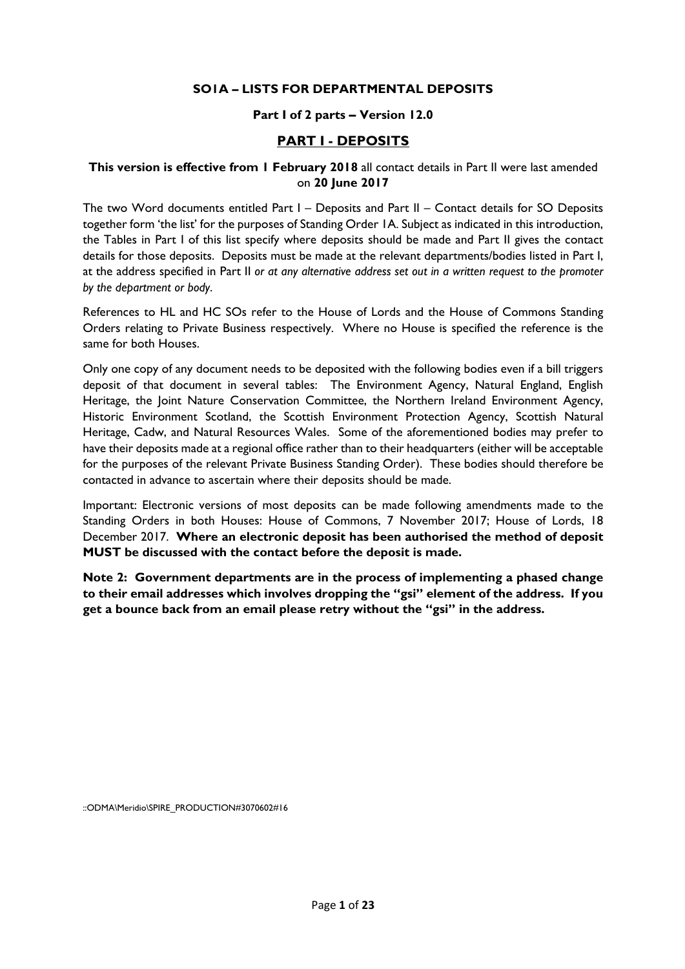#### **SO1A – LISTS FOR DEPARTMENTAL DEPOSITS**

#### **Part I of 2 parts – Version 12.0**

#### **PART I - DEPOSITS**

#### **This version is effective from 1 February 2018** all contact details in Part II were last amended on **20 June 2017**

The two Word documents entitled Part I – Deposits and Part II – Contact details for SO Deposits together form 'the list' for the purposes of Standing Order 1A. Subject as indicated in this introduction, the Tables in Part I of this list specify where deposits should be made and Part II gives the contact details for those deposits. Deposits must be made at the relevant departments/bodies listed in Part I, at the address specified in Part II *or at any alternative address set out in a written request to the promoter by the department or body*.

References to HL and HC SOs refer to the House of Lords and the House of Commons Standing Orders relating to Private Business respectively. Where no House is specified the reference is the same for both Houses.

Only one copy of any document needs to be deposited with the following bodies even if a bill triggers deposit of that document in several tables: The Environment Agency, Natural England, English Heritage, the Joint Nature Conservation Committee, the Northern Ireland Environment Agency, Historic Environment Scotland, the Scottish Environment Protection Agency, Scottish Natural Heritage, Cadw, and Natural Resources Wales. Some of the aforementioned bodies may prefer to have their deposits made at a regional office rather than to their headquarters (either will be acceptable for the purposes of the relevant Private Business Standing Order). These bodies should therefore be contacted in advance to ascertain where their deposits should be made.

Important: Electronic versions of most deposits can be made following amendments made to the Standing Orders in both Houses: House of Commons, 7 November 2017; House of Lords, 18 December 2017. **Where an electronic deposit has been authorised the method of deposit MUST be discussed with the contact before the deposit is made.** 

**Note 2: Government departments are in the process of implementing a phased change to their email addresses which involves dropping the "gsi" element of the address. If you get a bounce back from an email please retry without the "gsi" in the address.** 

::ODMA\Meridio\SPIRE\_PRODUCTION#3070602#16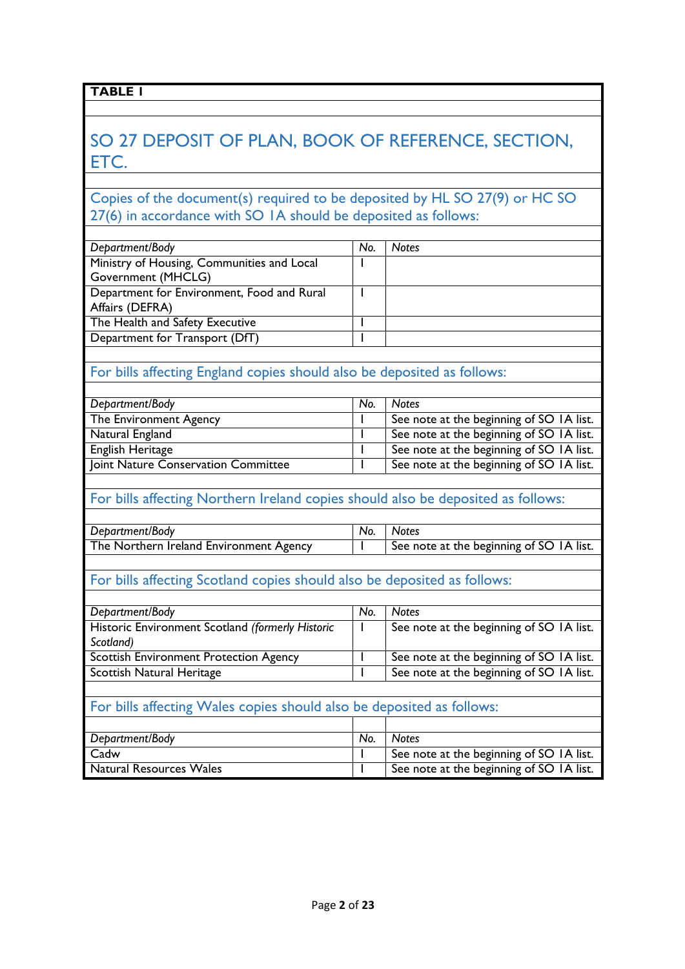## SO 27 DEPOSIT OF PLAN, BOOK OF REFERENCE, SECTION, ETC.

### Copies of the document(s) required to be deposited by HL SO 27(9) or HC SO 27(6) in accordance with SO 1A should be deposited as follows:

| Department/Body                            | No. | <b>Notes</b> |
|--------------------------------------------|-----|--------------|
| Ministry of Housing, Communities and Local |     |              |
| Government (MHCLG)                         |     |              |
| Department for Environment, Food and Rural |     |              |
| Affairs (DEFRA)                            |     |              |
| The Health and Safety Executive            |     |              |
| Department for Transport (DfT)             |     |              |
|                                            |     |              |

### For bills affecting England copies should also be deposited as follows:

| Department/Body                     | No. | <b>Notes</b>                             |
|-------------------------------------|-----|------------------------------------------|
| The Environment Agency              |     | See note at the beginning of SO IA list. |
| Natural England                     |     | See note at the beginning of SO IA list. |
| English Heritage                    |     | See note at the beginning of SO 1A list. |
| Joint Nature Conservation Committee |     | See note at the beginning of SO 1A list. |

#### For bills affecting Northern Ireland copies should also be deposited as follows:

| Department/Body                         | No. | <b>Notes</b>                             |
|-----------------------------------------|-----|------------------------------------------|
| The Northern Ireland Environment Agency |     | See note at the beginning of SO IA list. |

## For bills affecting Scotland copies should also be deposited as follows:

| Department/Body                                  | No. | <b>Notes</b>                             |
|--------------------------------------------------|-----|------------------------------------------|
| Historic Environment Scotland (formerly Historic |     | See note at the beginning of SO IA list. |
| Scotland)                                        |     |                                          |
| <b>Scottish Environment Protection Agency</b>    |     | See note at the beginning of SO 1A list. |
| Scottish Natural Heritage                        |     | See note at the beginning of SO IA list. |
|                                                  |     |                                          |

#### For bills affecting Wales copies should also be deposited as follows:

| Department/Body         | No. | <b>Notes</b>                             |
|-------------------------|-----|------------------------------------------|
| Cadw                    |     | See note at the beginning of SO IA list. |
| Natural Resources Wales |     | See note at the beginning of SO 1A list. |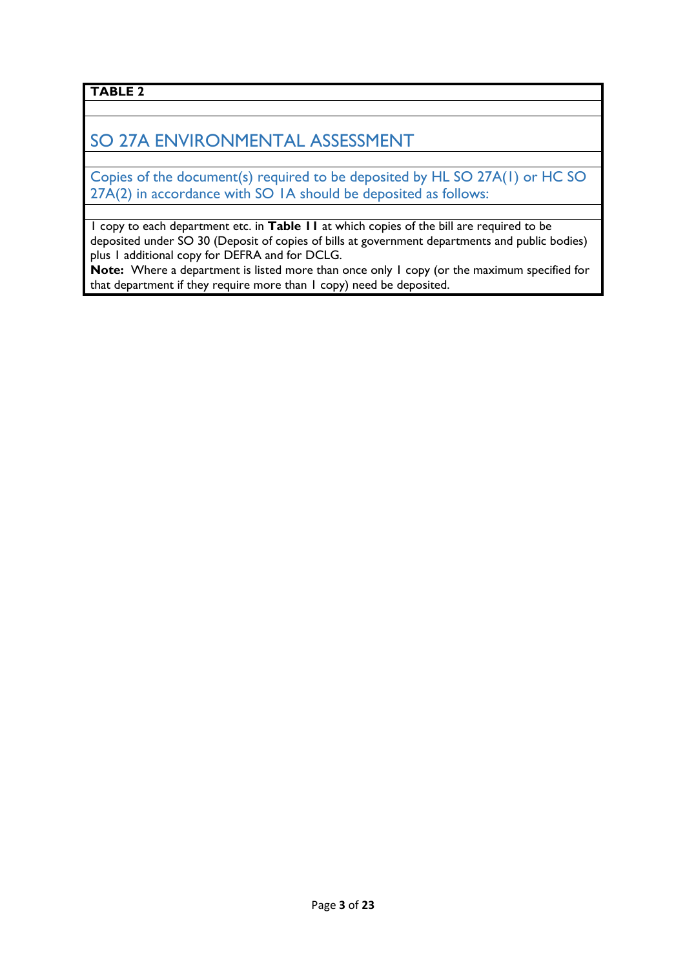## SO 27A ENVIRONMENTAL ASSESSMENT

Copies of the document(s) required to be deposited by HL SO 27A(1) or HC SO 27A(2) in accordance with SO 1A should be deposited as follows:

1 copy to each department etc. in **Table 11** at which copies of the bill are required to be deposited under SO 30 (Deposit of copies of bills at government departments and public bodies) plus 1 additional copy for DEFRA and for DCLG.

**Note:** Where a department is listed more than once only 1 copy (or the maximum specified for that department if they require more than 1 copy) need be deposited.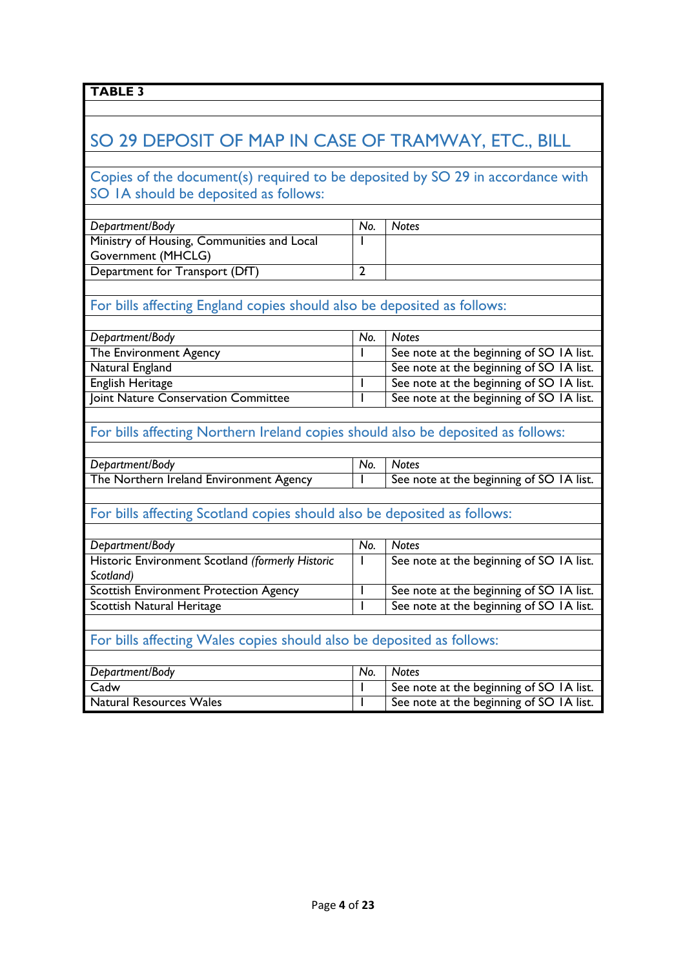## SO 29 DEPOSIT OF MAP IN CASE OF TRAMWAY, ETC., BILL

### Copies of the document(s) required to be deposited by SO 29 in accordance with SO 1A should be deposited as follows:

| Department/Body                            | No. | <b>Notes</b> |
|--------------------------------------------|-----|--------------|
| Ministry of Housing, Communities and Local |     |              |
| Government (MHCLG)                         |     |              |
| Department for Transport (DfT)             |     |              |

### For bills affecting England copies should also be deposited as follows:

| Department/Body                     | No. | <b>Notes</b>                             |
|-------------------------------------|-----|------------------------------------------|
| The Environment Agency              |     | See note at the beginning of SO 1A list. |
| Natural England                     |     | See note at the beginning of SO 1A list. |
| English Heritage                    |     | See note at the beginning of SO IA list. |
| Joint Nature Conservation Committee |     | See note at the beginning of SO IA list. |

### For bills affecting Northern Ireland copies should also be deposited as follows:

| Department/Body                         | No. | <b>Notes</b>                             |
|-----------------------------------------|-----|------------------------------------------|
| The Northern Ireland Environment Agency |     | See note at the beginning of SO IA list. |

#### For bills affecting Scotland copies should also be deposited as follows:

| Department/Body                                  | No. | <b>Notes</b>                             |
|--------------------------------------------------|-----|------------------------------------------|
| Historic Environment Scotland (formerly Historic |     | See note at the beginning of SO 1A list. |
| Scotland)                                        |     |                                          |
| <b>Scottish Environment Protection Agency</b>    |     | See note at the beginning of SO 1A list. |
| Scottish Natural Heritage                        |     | See note at the beginning of SO 1A list. |

### For bills affecting Wales copies should also be deposited as follows:

| Department/Body                | No. | <b>Notes</b>                             |
|--------------------------------|-----|------------------------------------------|
| Cadw                           |     | See note at the beginning of SO IA list. |
| <b>Natural Resources Wales</b> |     | See note at the beginning of SO IA list. |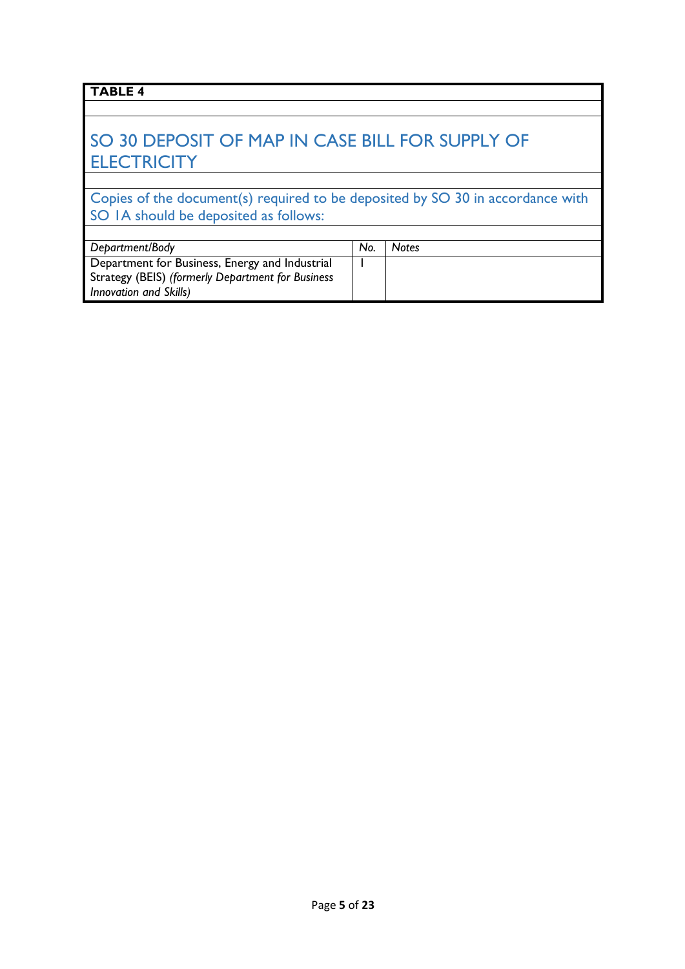## SO 30 DEPOSIT OF MAP IN CASE BILL FOR SUPPLY OF **ELECTRICITY**

Copies of the document(s) required to be deposited by SO 30 in accordance with SO IA should be deposited as follows:

| Department/Body                                   | No. | <b>Notes</b> |
|---------------------------------------------------|-----|--------------|
| Department for Business, Energy and Industrial    |     |              |
| Strategy (BEIS) (formerly Department for Business |     |              |
| Innovation and Skills)                            |     |              |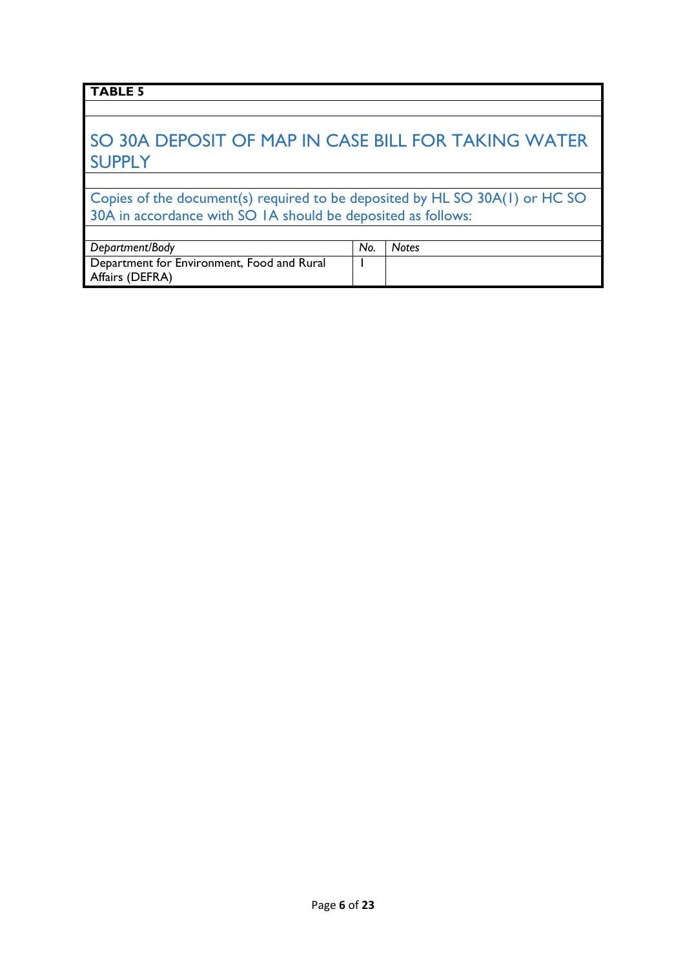## SO 30A DEPOSIT OF MAP IN CASE BILL FOR TAKING WATER SUPPLY

Copies of the document(s) required to be deposited by HL SO 30A(1) or HC SO 30A in accordance with SO 1A should be deposited as follows:

| Department/Body                            | No. | <b>Notes</b> |
|--------------------------------------------|-----|--------------|
| Department for Environment, Food and Rural |     |              |
| Affairs (DEFRA)                            |     |              |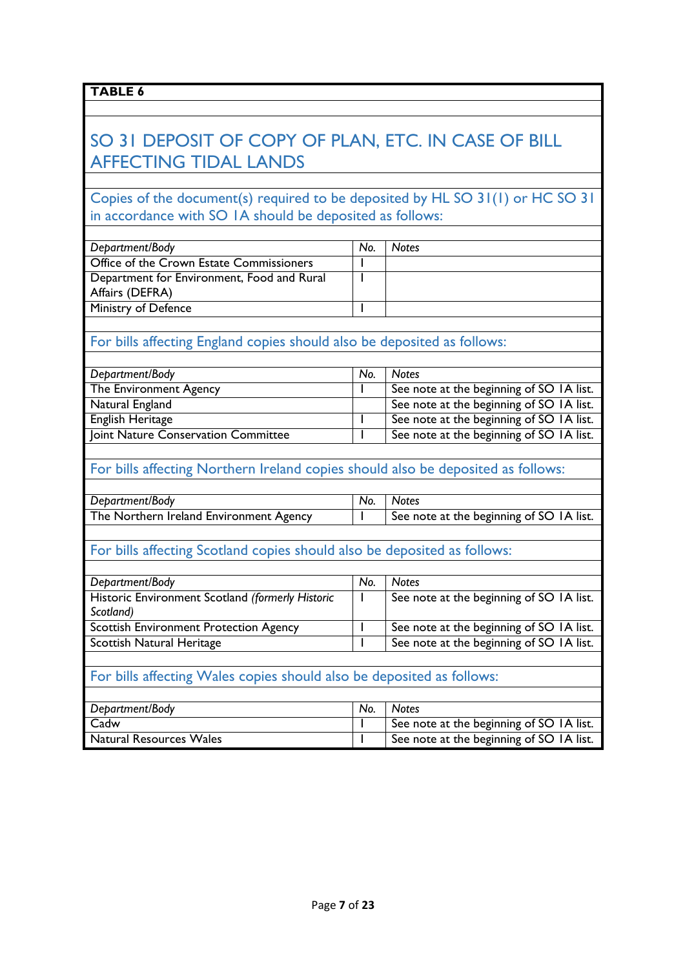## SO 31 DEPOSIT OF COPY OF PLAN, ETC. IN CASE OF BILL AFFECTING TIDAL LANDS

#### Copies of the document(s) required to be deposited by HL SO 31(1) or HC SO 31 in accordance with SO 1A should be deposited as follows:

| No. | Notes |
|-----|-------|
|     |       |
|     |       |
|     |       |
|     |       |
|     |       |

### For bills affecting England copies should also be deposited as follows:

| Department/Body                     | No. | <b>Notes</b>                             |
|-------------------------------------|-----|------------------------------------------|
| The Environment Agency              |     | See note at the beginning of SO IA list. |
| Natural England                     |     | See note at the beginning of SO IA list. |
| English Heritage                    |     | See note at the beginning of SO IA list. |
| Joint Nature Conservation Committee |     | See note at the beginning of SO IA list. |

#### For bills affecting Northern Ireland copies should also be deposited as follows:

| Department/Body                         | No. | <b>Notes</b>                             |
|-----------------------------------------|-----|------------------------------------------|
| The Northern Ireland Environment Agency |     | See note at the beginning of SO IA list. |

## For bills affecting Scotland copies should also be deposited as follows:

| Department/Body                                  | No. | <b>Notes</b>                             |
|--------------------------------------------------|-----|------------------------------------------|
| Historic Environment Scotland (formerly Historic |     | See note at the beginning of SO IA list. |
| Scotland)                                        |     |                                          |
| <b>Scottish Environment Protection Agency</b>    |     | See note at the beginning of SO IA list. |
| Scottish Natural Heritage                        |     | See note at the beginning of SO IA list. |
|                                                  |     |                                          |

### For bills affecting Wales copies should also be deposited as follows:

| Department/Body                | No. | <b>Notes</b>                             |
|--------------------------------|-----|------------------------------------------|
| Cadw                           |     | See note at the beginning of SO IA list. |
| <b>Natural Resources Wales</b> |     | See note at the beginning of SO IA list. |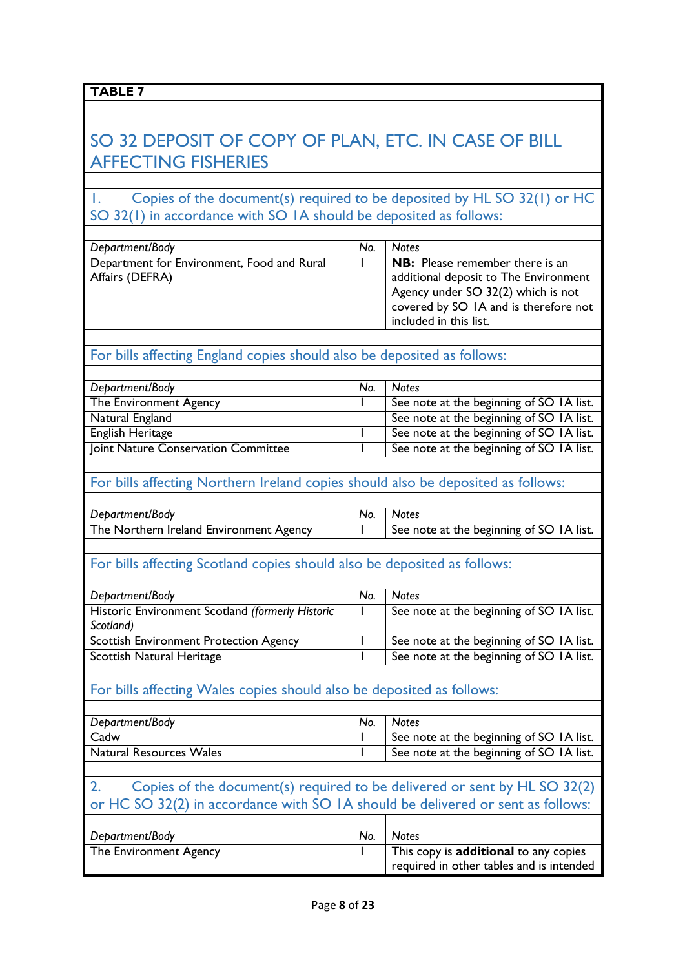| - | н |  |
|---|---|--|
|   |   |  |

## SO 32 DEPOSIT OF COPY OF PLAN, ETC. IN CASE OF BILL AFFECTING FISHERIES

1. Copies of the document(s) required to be deposited by HL SO 32(1) or HC SO 32(1) in accordance with SO 1A should be deposited as follows:

| Department/Body                            | No. | <b>Notes</b>                                                                                                                                   |
|--------------------------------------------|-----|------------------------------------------------------------------------------------------------------------------------------------------------|
| Department for Environment, Food and Rural |     | <b>NB:</b> Please remember there is an                                                                                                         |
| Affairs (DEFRA)                            |     | additional deposit to The Environment<br>Agency under SO 32(2) which is not<br>covered by SO IA and is therefore not<br>included in this list. |

# For bills affecting England copies should also be deposited as follows:

| Department/Body                     | No. | <b>Notes</b>                             |
|-------------------------------------|-----|------------------------------------------|
| The Environment Agency              |     | See note at the beginning of SO IA list. |
| Natural England                     |     | See note at the beginning of SO IA list. |
| English Heritage                    |     | See note at the beginning of SO 1A list. |
| Joint Nature Conservation Committee |     | See note at the beginning of SO IA list. |

## For bills affecting Northern Ireland copies should also be deposited as follows:

| Department/Body                         | No. | <b>Notes</b>                             |
|-----------------------------------------|-----|------------------------------------------|
| The Northern Ireland Environment Agency |     | See note at the beginning of SO IA list. |

#### For bills affecting Scotland copies should also be deposited as follows:

| Department/Body                                  | No. | <b>Notes</b>                             |
|--------------------------------------------------|-----|------------------------------------------|
| Historic Environment Scotland (formerly Historic |     | See note at the beginning of SO 1A list. |
| Scotland)                                        |     |                                          |
| <b>Scottish Environment Protection Agency</b>    |     | See note at the beginning of SO 1A list. |
| Scottish Natural Heritage                        |     | See note at the beginning of SO 1A list. |

## For bills affecting Wales copies should also be deposited as follows:

| Department/Body                | No. | <b>Notes</b>                             |
|--------------------------------|-----|------------------------------------------|
| Cadw                           |     | See note at the beginning of SO IA list. |
| <b>Natural Resources Wales</b> |     | See note at the beginning of SO IA list. |

#### 2. Copies of the document(s) required to be delivered or sent by HL SO 32(2) or HC SO 32(2) in accordance with SO 1A should be delivered or sent as follows:  $\overline{\phantom{0}}$ Τ

| Department/Body        | No. | <b>Notes</b>                             |
|------------------------|-----|------------------------------------------|
| The Environment Agency |     | This copy is additional to any copies    |
|                        |     | required in other tables and is intended |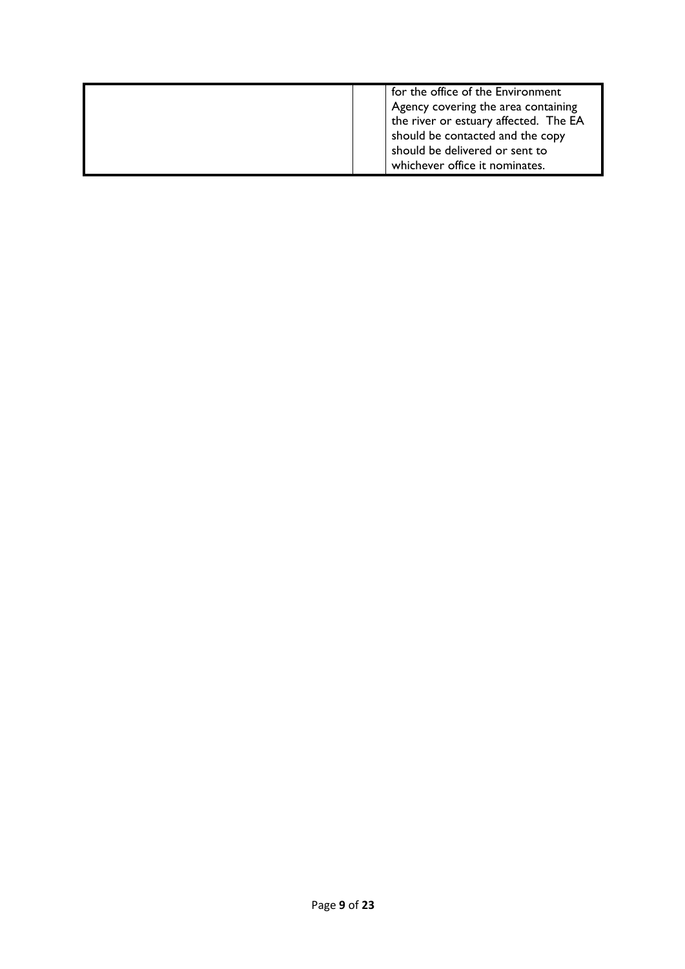|  | for the office of the Environment<br>Agency covering the area containing<br>the river or estuary affected. The EA<br>should be contacted and the copy<br>should be delivered or sent to<br>whichever office it nominates. |
|--|---------------------------------------------------------------------------------------------------------------------------------------------------------------------------------------------------------------------------|
|--|---------------------------------------------------------------------------------------------------------------------------------------------------------------------------------------------------------------------------|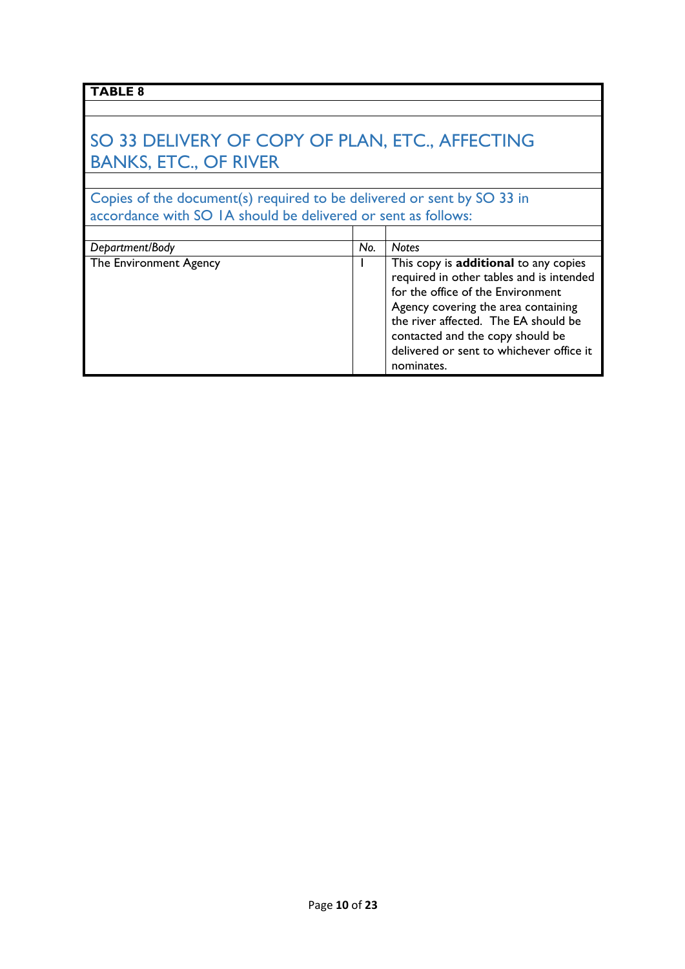## SO 33 DELIVERY OF COPY OF PLAN, ETC., AFFECTING BANKS, ETC., OF RIVER

Copies of the document(s) required to be delivered or sent by SO 33 in accordance with SO 1A should be delivered or sent as follows:

| Department/Body        | No. | <b>Notes</b>                                                                                                                                                                                                                                                                                        |
|------------------------|-----|-----------------------------------------------------------------------------------------------------------------------------------------------------------------------------------------------------------------------------------------------------------------------------------------------------|
| The Environment Agency |     | This copy is additional to any copies<br>required in other tables and is intended<br>for the office of the Environment<br>Agency covering the area containing<br>the river affected. The EA should be<br>contacted and the copy should be<br>delivered or sent to whichever office it<br>nominates. |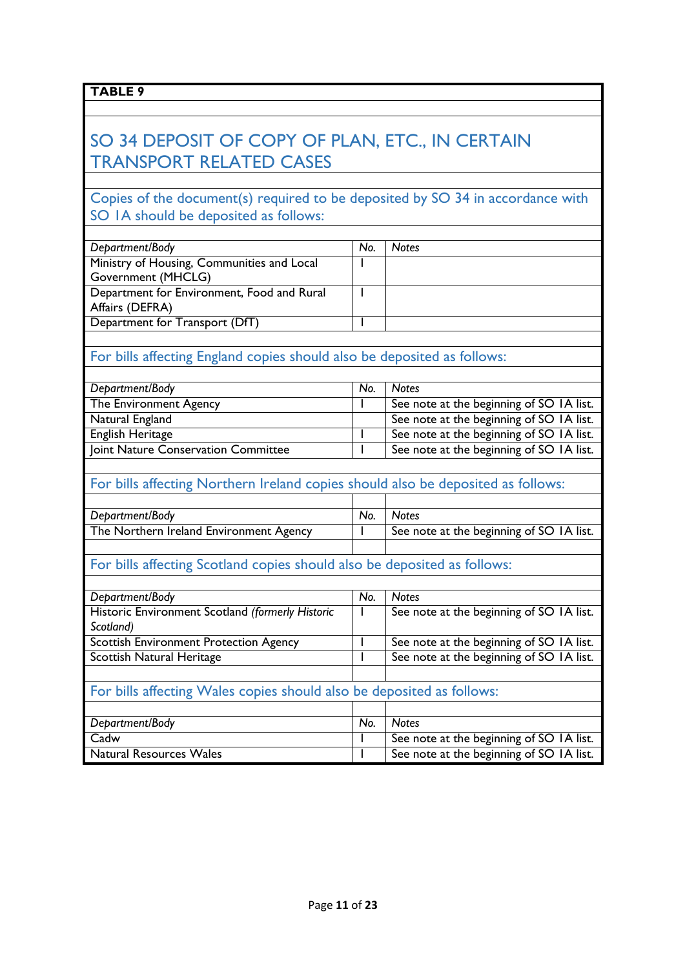## SO 34 DEPOSIT OF COPY OF PLAN, ETC., IN CERTAIN TRANSPORT RELATED CASES

### Copies of the document(s) required to be deposited by SO 34 in accordance with SO 1A should be deposited as follows:

| Department/Body                            | No. | Notes |
|--------------------------------------------|-----|-------|
| Ministry of Housing, Communities and Local |     |       |
| Government (MHCLG)                         |     |       |
| Department for Environment, Food and Rural |     |       |
| Affairs (DEFRA)                            |     |       |
| Department for Transport (DfT)             |     |       |
|                                            |     |       |

### For bills affecting England copies should also be deposited as follows:

| Department/Body                     | No. | <b>Notes</b>                             |
|-------------------------------------|-----|------------------------------------------|
| The Environment Agency              |     | See note at the beginning of SO IA list. |
| Natural England                     |     | See note at the beginning of SO IA list. |
| English Heritage                    |     | See note at the beginning of SO IA list. |
| Joint Nature Conservation Committee |     | See note at the beginning of SO IA list. |

## For bills affecting Northern Ireland copies should also be deposited as follows:

| Department/Body                         | No. | <b>Notes</b>                             |
|-----------------------------------------|-----|------------------------------------------|
| The Northern Ireland Environment Agency |     | See note at the beginning of SO IA list. |
|                                         |     |                                          |

## For bills affecting Scotland copies should also be deposited as follows:

| Department/Body                                                       | No. | <b>Notes</b>                             |  |
|-----------------------------------------------------------------------|-----|------------------------------------------|--|
| Historic Environment Scotland (formerly Historic                      |     | See note at the beginning of SO 1A list. |  |
| Scotland)                                                             |     |                                          |  |
| <b>Scottish Environment Protection Agency</b>                         |     | See note at the beginning of SO 1A list. |  |
| Scottish Natural Heritage                                             |     | See note at the beginning of SO IA list. |  |
|                                                                       |     |                                          |  |
| For bills affecting Wales copies should also be deposited as follows: |     |                                          |  |
|                                                                       |     |                                          |  |
| Department/Body                                                       | No. | <b>Notes</b>                             |  |
| Cadw                                                                  |     | See note at the beginning of SO IA list. |  |
| <b>Natural Resources Wales</b>                                        |     | See note at the beginning of SO IA list. |  |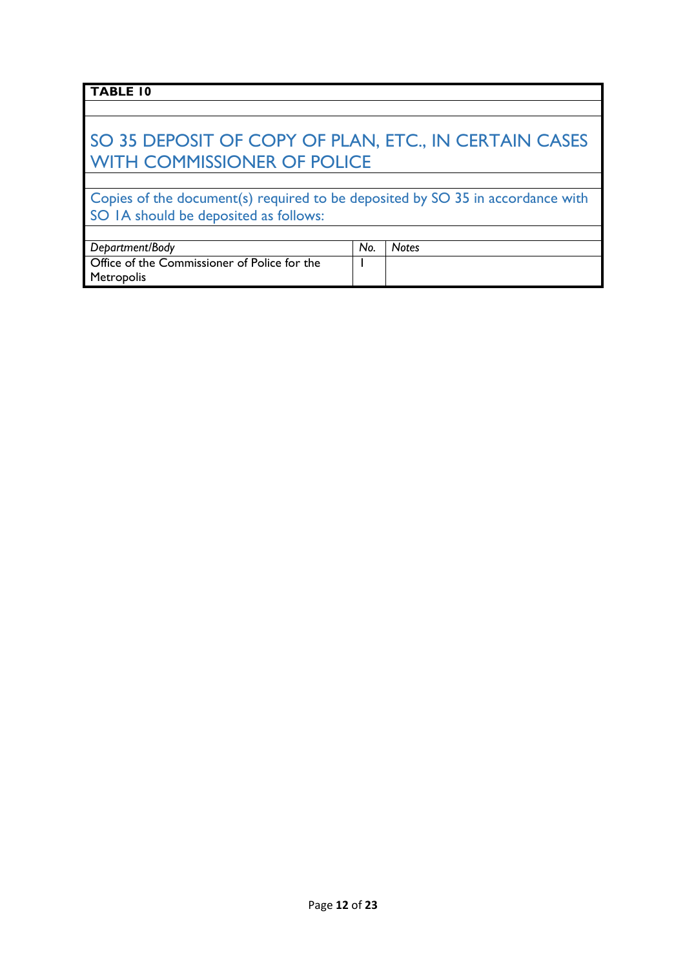## SO 35 DEPOSIT OF COPY OF PLAN, ETC., IN CERTAIN CASES WITH COMMISSIONER OF POLICE

Copies of the document(s) required to be deposited by SO 35 in accordance with SO IA should be deposited as follows:

| Department/Body                              | No. | <b>Notes</b> |
|----------------------------------------------|-----|--------------|
| Office of the Commissioner of Police for the |     |              |
| Metropolis                                   |     |              |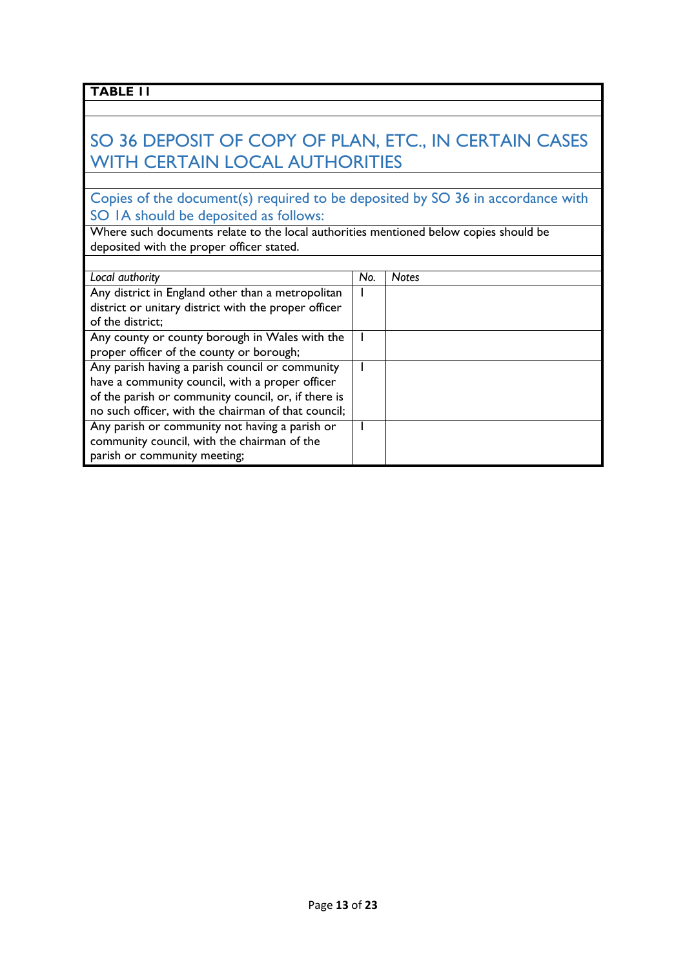## SO 36 DEPOSIT OF COPY OF PLAN, ETC., IN CERTAIN CASES WITH CERTAIN LOCAL AUTHORITIES

Copies of the document(s) required to be deposited by SO 36 in accordance with SO 1A should be deposited as follows:

Where such documents relate to the local authorities mentioned below copies should be deposited with the proper officer stated.

| Local authority                                      | No. | <b>Notes</b> |
|------------------------------------------------------|-----|--------------|
| Any district in England other than a metropolitan    |     |              |
| district or unitary district with the proper officer |     |              |
| of the district;                                     |     |              |
| Any county or county borough in Wales with the       |     |              |
| proper officer of the county or borough;             |     |              |
| Any parish having a parish council or community      |     |              |
| have a community council, with a proper officer      |     |              |
| of the parish or community council, or, if there is  |     |              |
| no such officer, with the chairman of that council;  |     |              |
| Any parish or community not having a parish or       |     |              |
| community council, with the chairman of the          |     |              |
| parish or community meeting;                         |     |              |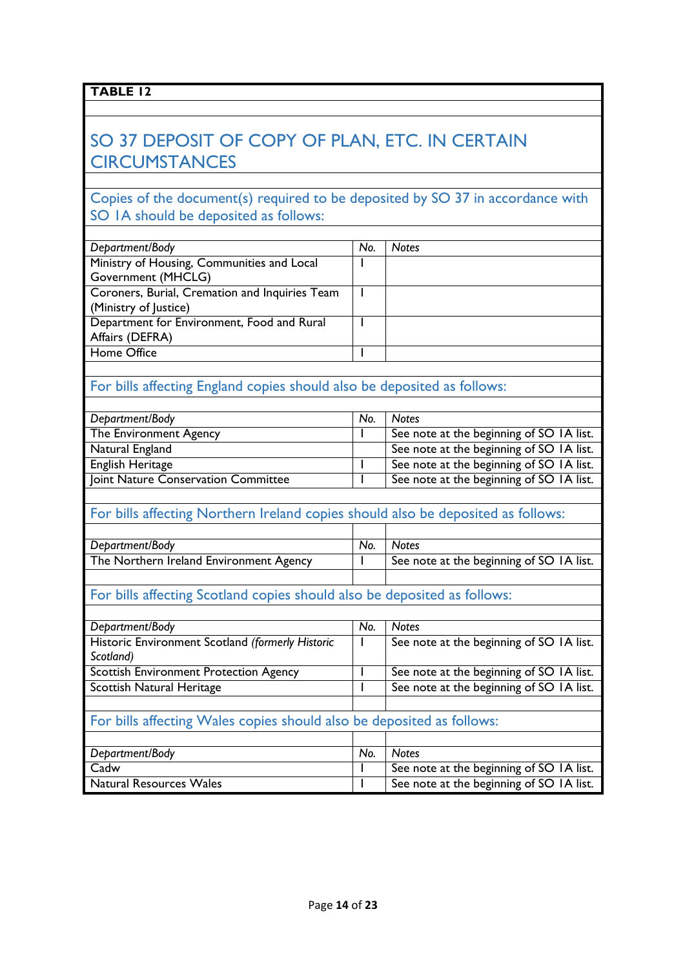## SO 37 DEPOSIT OF COPY OF PLAN, ETC. IN CERTAIN **CIRCUMSTANCES**

### Copies of the document(s) required to be deposited by SO 37 in accordance with SO 1A should be deposited as follows:

| Department/Body                                | No. | <b>Notes</b> |
|------------------------------------------------|-----|--------------|
| Ministry of Housing, Communities and Local     |     |              |
| Government (MHCLG)                             |     |              |
| Coroners, Burial, Cremation and Inquiries Team |     |              |
| (Ministry of Justice)                          |     |              |
| Department for Environment, Food and Rural     |     |              |
| Affairs (DEFRA)                                |     |              |
| Home Office                                    |     |              |
|                                                |     |              |

### For bills affecting England copies should also be deposited as follows:

| Department/Body                     | No. | <b>Notes</b>                             |
|-------------------------------------|-----|------------------------------------------|
| The Environment Agency              |     | See note at the beginning of SO IA list. |
| Natural England                     |     | See note at the beginning of SO IA list. |
| English Heritage                    |     | See note at the beginning of SO IA list. |
| Joint Nature Conservation Committee |     | See note at the beginning of SO IA list. |

### For bills affecting Northern Ireland copies should also be deposited as follows:

| Department/Body                         | No. | <b>Notes</b>                             |
|-----------------------------------------|-----|------------------------------------------|
| The Northern Ireland Environment Agency |     | See note at the beginning of SO IA list. |
|                                         |     |                                          |

## For bills affecting Scotland copies should also be deposited as follows:

| Department/Body                                                       | No. | <b>Notes</b>                             |  |
|-----------------------------------------------------------------------|-----|------------------------------------------|--|
| Historic Environment Scotland (formerly Historic                      |     | See note at the beginning of SO 1A list. |  |
| Scotland)                                                             |     |                                          |  |
| <b>Scottish Environment Protection Agency</b>                         |     | See note at the beginning of SO 1A list. |  |
| Scottish Natural Heritage                                             |     | See note at the beginning of SO 1A list. |  |
|                                                                       |     |                                          |  |
| For bills affecting Wales copies should also be deposited as follows: |     |                                          |  |
|                                                                       |     |                                          |  |

| Department/Body                | No. | <b>Notes</b>                             |
|--------------------------------|-----|------------------------------------------|
| Cadw                           |     | See note at the beginning of SO IA list. |
| <b>Natural Resources Wales</b> |     | See note at the beginning of SO 1A list. |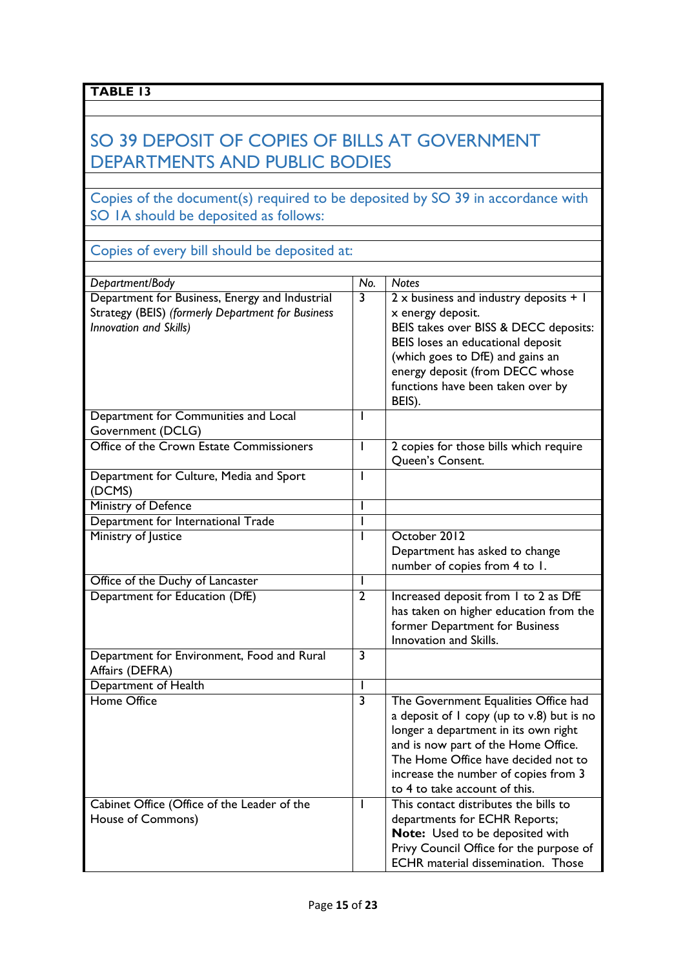## SO 39 DEPOSIT OF COPIES OF BILLS AT GOVERNMENT DEPARTMENTS AND PUBLIC BODIES

### Copies of the document(s) required to be deposited by SO 39 in accordance with SO 1A should be deposited as follows:

Copies of every bill should be deposited at:

| Department/Body                                                                                                               | $\overline{No.}$        | <b>Notes</b>                                                                                                                                                                                                                                                                     |
|-------------------------------------------------------------------------------------------------------------------------------|-------------------------|----------------------------------------------------------------------------------------------------------------------------------------------------------------------------------------------------------------------------------------------------------------------------------|
| Department for Business, Energy and Industrial<br>Strategy (BEIS) (formerly Department for Business<br>Innovation and Skills) | $\overline{\mathbf{3}}$ | $2 \times$ business and industry deposits + 1<br>x energy deposit.<br>BEIS takes over BISS & DECC deposits:<br>BEIS loses an educational deposit<br>(which goes to DfE) and gains an<br>energy deposit (from DECC whose<br>functions have been taken over by<br>BEIS).           |
| Department for Communities and Local<br>Government (DCLG)                                                                     | L                       |                                                                                                                                                                                                                                                                                  |
| Office of the Crown Estate Commissioners                                                                                      | I                       | 2 copies for those bills which require<br>Queen's Consent.                                                                                                                                                                                                                       |
| Department for Culture, Media and Sport<br>(DCMS)                                                                             | L                       |                                                                                                                                                                                                                                                                                  |
| Ministry of Defence                                                                                                           | I                       |                                                                                                                                                                                                                                                                                  |
| Department for International Trade                                                                                            | ı                       |                                                                                                                                                                                                                                                                                  |
| Ministry of Justice                                                                                                           |                         | October 2012<br>Department has asked to change<br>number of copies from 4 to 1.                                                                                                                                                                                                  |
| Office of the Duchy of Lancaster                                                                                              |                         |                                                                                                                                                                                                                                                                                  |
| Department for Education (DfE)                                                                                                | $\overline{2}$          | Increased deposit from 1 to 2 as DfE<br>has taken on higher education from the<br>former Department for Business<br>Innovation and Skills.                                                                                                                                       |
| Department for Environment, Food and Rural<br>Affairs (DEFRA)                                                                 | $\overline{\mathbf{3}}$ |                                                                                                                                                                                                                                                                                  |
| Department of Health                                                                                                          | L                       |                                                                                                                                                                                                                                                                                  |
| <b>Home Office</b>                                                                                                            | $\overline{3}$          | The Government Equalities Office had<br>a deposit of I copy (up to v.8) but is no<br>longer a department in its own right<br>and is now part of the Home Office.<br>The Home Office have decided not to<br>increase the number of copies from 3<br>to 4 to take account of this. |
| Cabinet Office (Office of the Leader of the<br>House of Commons)                                                              | I                       | This contact distributes the bills to<br>departments for ECHR Reports;<br>Note: Used to be deposited with<br>Privy Council Office for the purpose of<br>ECHR material dissemination. Those                                                                                       |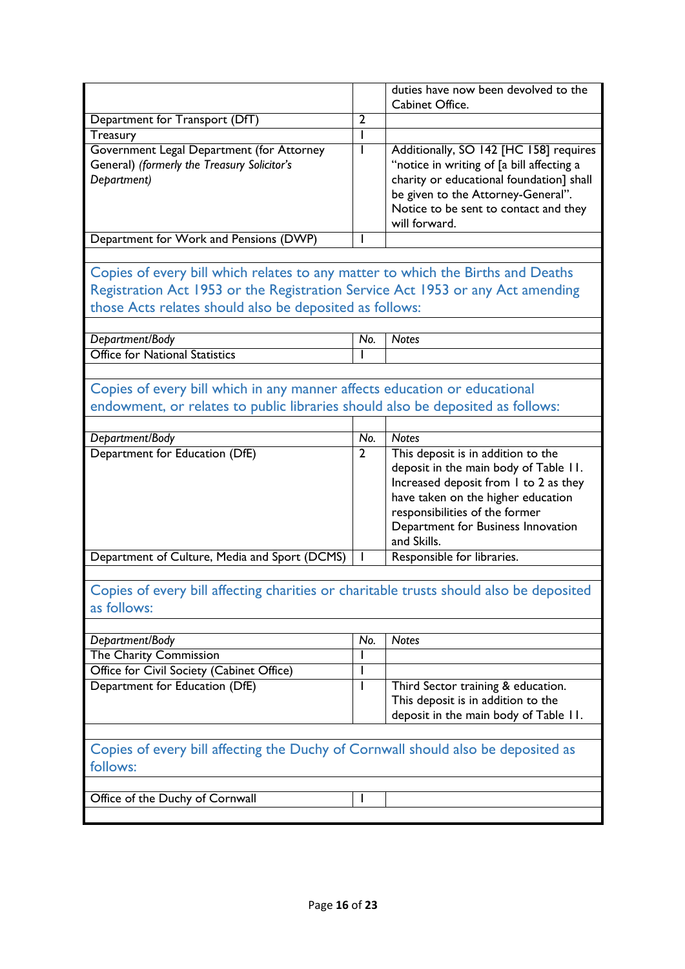|                                                                                          |                | duties have now been devolved to the                                           |
|------------------------------------------------------------------------------------------|----------------|--------------------------------------------------------------------------------|
|                                                                                          | $\overline{2}$ | Cabinet Office.                                                                |
| Department for Transport (DfT)                                                           |                |                                                                                |
| Treasury                                                                                 |                |                                                                                |
| Government Legal Department (for Attorney<br>General) (formerly the Treasury Solicitor's | I              | Additionally, SO 142 [HC 158] requires                                         |
|                                                                                          |                | "notice in writing of [a bill affecting a                                      |
| Department)                                                                              |                | charity or educational foundation] shall<br>be given to the Attorney-General". |
|                                                                                          |                | Notice to be sent to contact and they                                          |
|                                                                                          |                | will forward.                                                                  |
| Department for Work and Pensions (DWP)                                                   |                |                                                                                |
|                                                                                          |                |                                                                                |
|                                                                                          |                |                                                                                |
| Copies of every bill which relates to any matter to which the Births and Deaths          |                |                                                                                |
| Registration Act 1953 or the Registration Service Act 1953 or any Act amending           |                |                                                                                |
| those Acts relates should also be deposited as follows:                                  |                |                                                                                |
|                                                                                          |                |                                                                                |
| Department/Body                                                                          | No.            | <b>Notes</b>                                                                   |
| <b>Office for National Statistics</b>                                                    |                |                                                                                |
|                                                                                          |                |                                                                                |
| Copies of every bill which in any manner affects education or educational                |                |                                                                                |
| endowment, or relates to public libraries should also be deposited as follows:           |                |                                                                                |
|                                                                                          |                |                                                                                |
| Department/Body                                                                          | No.            | <b>Notes</b>                                                                   |
| Department for Education (DfE)                                                           | $\overline{2}$ | This deposit is in addition to the                                             |
|                                                                                          |                | deposit in the main body of Table 11.                                          |
|                                                                                          |                | Increased deposit from 1 to 2 as they                                          |
|                                                                                          |                | have taken on the higher education                                             |
|                                                                                          |                | responsibilities of the former                                                 |
|                                                                                          |                | Department for Business Innovation                                             |
|                                                                                          |                | and Skills.                                                                    |
| Department of Culture, Media and Sport (DCMS)                                            | L              | Responsible for libraries.                                                     |
|                                                                                          |                |                                                                                |
| Copies of every bill affecting charities or charitable trusts should also be deposited   |                |                                                                                |
| as follows:                                                                              |                |                                                                                |
|                                                                                          |                |                                                                                |
| Department/Body                                                                          | No.            | <b>Notes</b>                                                                   |
| The Charity Commission                                                                   |                |                                                                                |
| Office for Civil Society (Cabinet Office)                                                | I              |                                                                                |
| Department for Education (DfE)                                                           | I              | Third Sector training & education.                                             |
|                                                                                          |                | This deposit is in addition to the                                             |
|                                                                                          |                | deposit in the main body of Table 11.                                          |
|                                                                                          |                |                                                                                |
| Copies of every bill affecting the Duchy of Cornwall should also be deposited as         |                |                                                                                |
| follows:                                                                                 |                |                                                                                |
|                                                                                          |                |                                                                                |
| Office of the Duchy of Cornwall                                                          |                |                                                                                |
|                                                                                          |                |                                                                                |
|                                                                                          |                |                                                                                |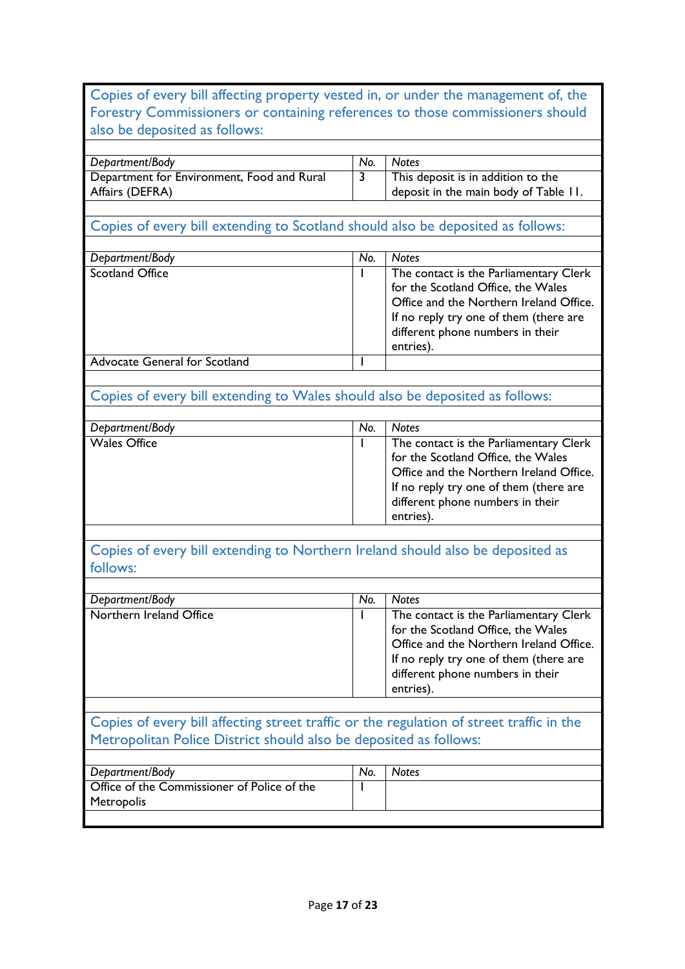|                                                                                                                                                               |                       | <b>Notes</b>                                                                                                                                                                                                                       |
|---------------------------------------------------------------------------------------------------------------------------------------------------------------|-----------------------|------------------------------------------------------------------------------------------------------------------------------------------------------------------------------------------------------------------------------------|
| Department/Body                                                                                                                                               | No.<br>$\overline{3}$ | This deposit is in addition to the                                                                                                                                                                                                 |
| Department for Environment, Food and Rural<br>Affairs (DEFRA)                                                                                                 |                       | deposit in the main body of Table 11.                                                                                                                                                                                              |
| Copies of every bill extending to Scotland should also be deposited as follows:                                                                               |                       |                                                                                                                                                                                                                                    |
|                                                                                                                                                               | No.                   |                                                                                                                                                                                                                                    |
| Department/Body<br><b>Scotland Office</b>                                                                                                                     |                       | <b>Notes</b>                                                                                                                                                                                                                       |
|                                                                                                                                                               | L                     | The contact is the Parliamentary Clerk<br>for the Scotland Office, the Wales<br>Office and the Northern Ireland Office.<br>If no reply try one of them (there are<br>different phone numbers in their<br>entries).                 |
| <b>Advocate General for Scotland</b>                                                                                                                          | ı                     |                                                                                                                                                                                                                                    |
|                                                                                                                                                               |                       |                                                                                                                                                                                                                                    |
| Copies of every bill extending to Wales should also be deposited as follows:                                                                                  |                       |                                                                                                                                                                                                                                    |
|                                                                                                                                                               |                       |                                                                                                                                                                                                                                    |
| Department/Body<br><b>Wales Office</b>                                                                                                                        | No.                   | <b>Notes</b>                                                                                                                                                                                                                       |
|                                                                                                                                                               |                       | The contact is the Parliamentary Clerk<br>for the Scotland Office, the Wales<br>Office and the Northern Ireland Office.<br>If no reply try one of them (there are<br>different phone numbers in their<br>entries).                 |
|                                                                                                                                                               |                       |                                                                                                                                                                                                                                    |
|                                                                                                                                                               |                       |                                                                                                                                                                                                                                    |
| Copies of every bill extending to Northern Ireland should also be deposited as<br>follows:                                                                    |                       |                                                                                                                                                                                                                                    |
|                                                                                                                                                               |                       |                                                                                                                                                                                                                                    |
| Department/Body<br>Northern Ireland Office                                                                                                                    | No.                   | <b>Notes</b><br>The contact is the Parliamentary Clerk<br>for the Scotland Office, the Wales<br>Office and the Northern Ireland Office.<br>If no reply try one of them (there are<br>different phone numbers in their<br>entries). |
|                                                                                                                                                               |                       |                                                                                                                                                                                                                                    |
| Copies of every bill affecting street traffic or the regulation of street traffic in the<br>Metropolitan Police District should also be deposited as follows: |                       |                                                                                                                                                                                                                                    |
|                                                                                                                                                               |                       |                                                                                                                                                                                                                                    |
| Department/Body                                                                                                                                               | No.                   | <b>Notes</b>                                                                                                                                                                                                                       |
| Office of the Commissioner of Police of the<br>Metropolis                                                                                                     |                       |                                                                                                                                                                                                                                    |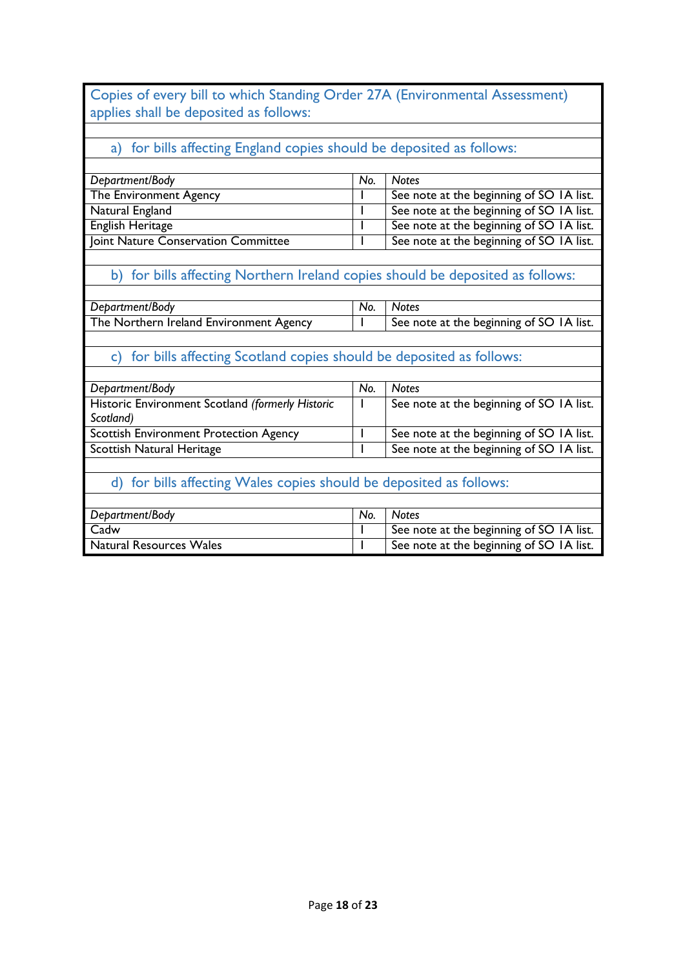Copies of every bill to which Standing Order 27A (Environmental Assessment) applies shall be deposited as follows:

## a) for bills affecting England copies should be deposited as follows:

| Department/Body                     | No. | <b>Notes</b>                             |
|-------------------------------------|-----|------------------------------------------|
| The Environment Agency              |     | See note at the beginning of SO 1A list. |
| Natural England                     |     | See note at the beginning of SO IA list. |
| English Heritage                    |     | See note at the beginning of SO IA list. |
| Joint Nature Conservation Committee |     | See note at the beginning of SO IA list. |
|                                     |     |                                          |

## b) for bills affecting Northern Ireland copies should be deposited as follows:

| Department/Body                         | No. | <b>Notes</b>                             |
|-----------------------------------------|-----|------------------------------------------|
| The Northern Ireland Environment Agency |     | See note at the beginning of SO IA list. |
|                                         |     |                                          |

### c) for bills affecting Scotland copies should be deposited as follows:

| Department/Body                                  | No. | <b>Notes</b>                             |
|--------------------------------------------------|-----|------------------------------------------|
| Historic Environment Scotland (formerly Historic |     | See note at the beginning of SO IA list. |
| Scotland)                                        |     |                                          |
| <b>Scottish Environment Protection Agency</b>    |     | See note at the beginning of SO 1A list. |
| Scottish Natural Heritage                        |     | See note at the beginning of SO 1A list. |

## d) for bills affecting Wales copies should be deposited as follows:

| Department/Body         | No. | <b>Notes</b>                             |
|-------------------------|-----|------------------------------------------|
| Cadw                    |     | See note at the beginning of SO IA list. |
| Natural Resources Wales |     | See note at the beginning of SO IA list. |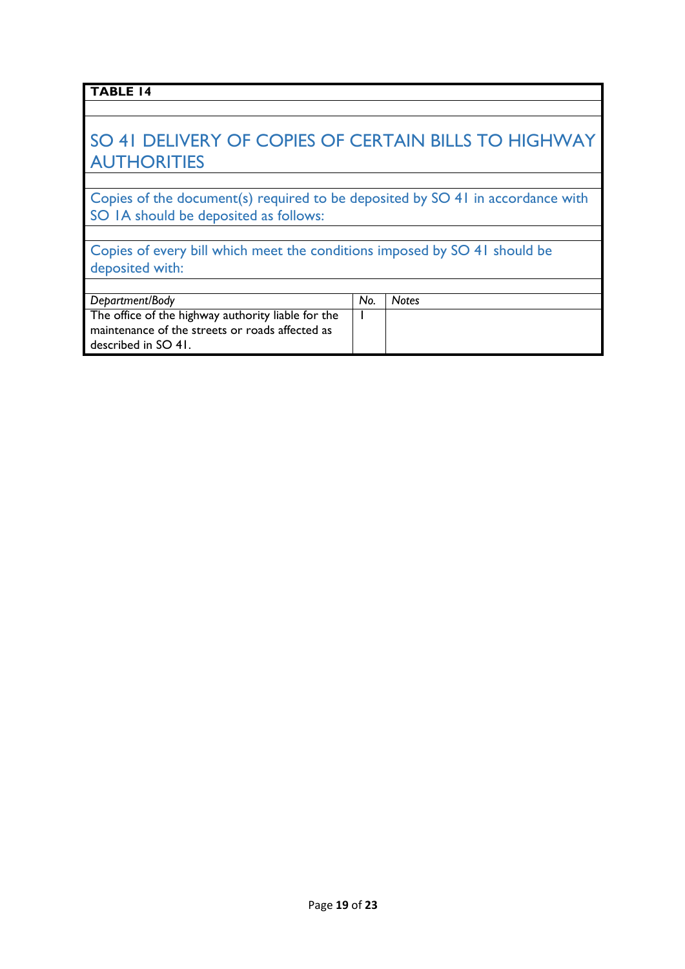## SO 41 DELIVERY OF COPIES OF CERTAIN BILLS TO HIGHWAY **AUTHORITIES**

Copies of the document(s) required to be deposited by SO 41 in accordance with SO IA should be deposited as follows:

Copies of every bill which meet the conditions imposed by SO 41 should be deposited with:

| Department/Body                                    | No. | <b>Notes</b> |
|----------------------------------------------------|-----|--------------|
| The office of the highway authority liable for the |     |              |
| maintenance of the streets or roads affected as    |     |              |
| described in SO 41.                                |     |              |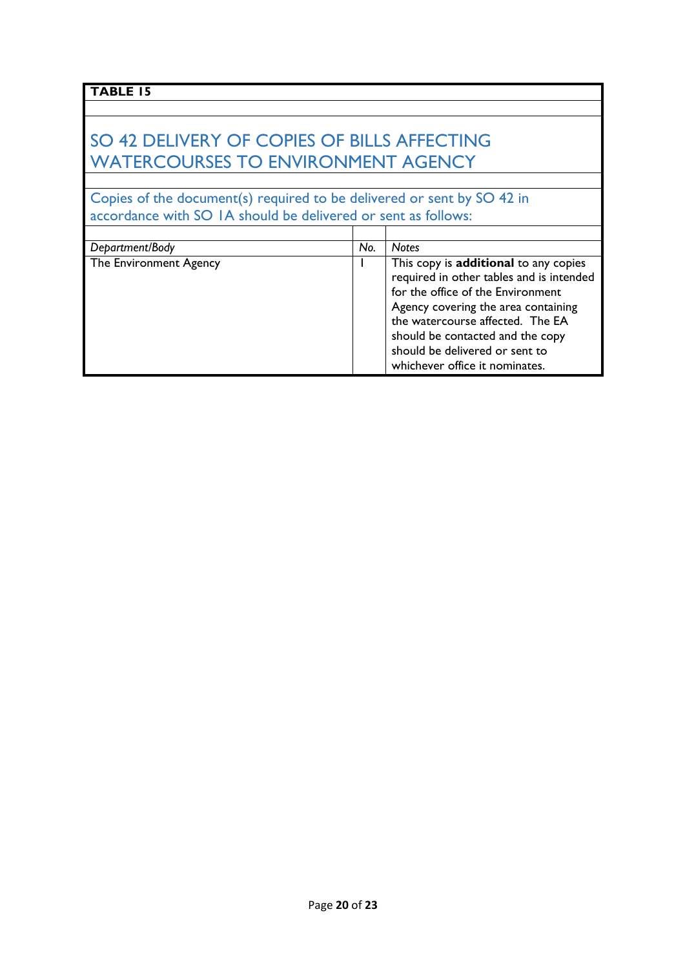## SO 42 DELIVERY OF COPIES OF BILLS AFFECTING WATERCOURSES TO ENVIRONMENT AGENCY

Copies of the document(s) required to be delivered or sent by SO 42 in accordance with SO 1A should be delivered or sent as follows:

| Department/Body        | No. | <b>Notes</b>                                                                                                                                                                                      |
|------------------------|-----|---------------------------------------------------------------------------------------------------------------------------------------------------------------------------------------------------|
| The Environment Agency |     | This copy is additional to any copies<br>required in other tables and is intended<br>for the office of the Environment<br>Agency covering the area containing<br>the watercourse affected. The EA |
|                        |     | should be contacted and the copy<br>should be delivered or sent to<br>whichever office it nominates.                                                                                              |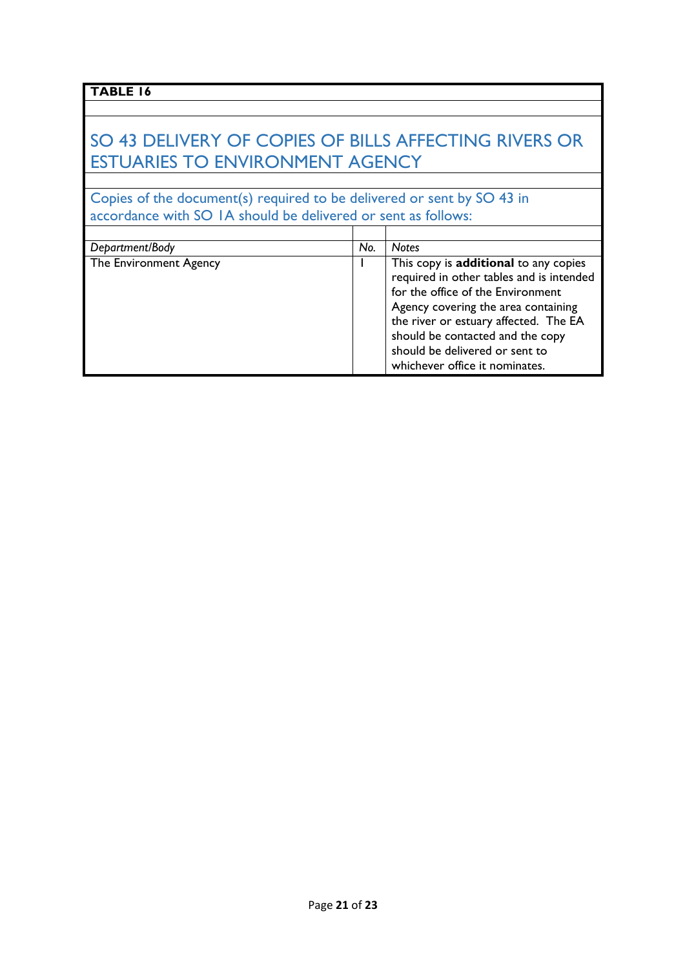## SO 43 DELIVERY OF COPIES OF BILLS AFFECTING RIVERS OR ESTUARIES TO ENVIRONMENT AGENCY

Copies of the document(s) required to be delivered or sent by SO 43 in accordance with SO 1A should be delivered or sent as follows:

| Department/Body        | No. | <b>Notes</b>                                                                                                                                                                                                                                                                                                   |
|------------------------|-----|----------------------------------------------------------------------------------------------------------------------------------------------------------------------------------------------------------------------------------------------------------------------------------------------------------------|
| The Environment Agency |     | This copy is additional to any copies<br>required in other tables and is intended<br>for the office of the Environment<br>Agency covering the area containing<br>the river or estuary affected. The EA<br>should be contacted and the copy<br>should be delivered or sent to<br>whichever office it nominates. |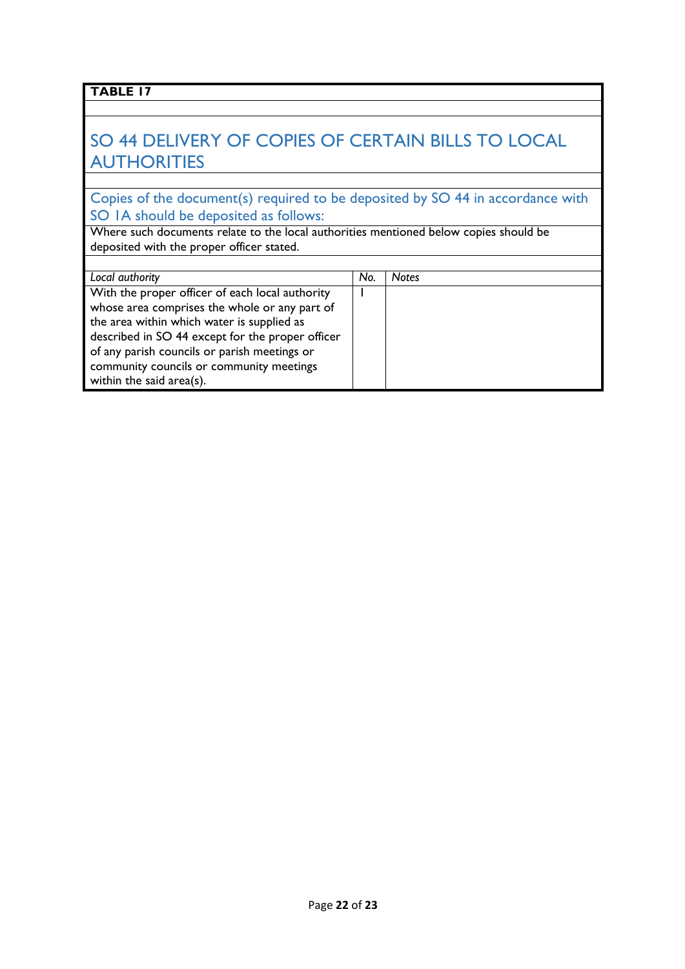## SO 44 DELIVERY OF COPIES OF CERTAIN BILLS TO LOCAL **AUTHORITIES**

Copies of the document(s) required to be deposited by SO 44 in accordance with SO 1A should be deposited as follows:

Where such documents relate to the local authorities mentioned below copies should be deposited with the proper officer stated.

| Local authority                                  | No. | <b>Notes</b> |
|--------------------------------------------------|-----|--------------|
| With the proper officer of each local authority  |     |              |
| whose area comprises the whole or any part of    |     |              |
| the area within which water is supplied as       |     |              |
| described in SO 44 except for the proper officer |     |              |
| of any parish councils or parish meetings or     |     |              |
| community councils or community meetings         |     |              |
| within the said area(s).                         |     |              |